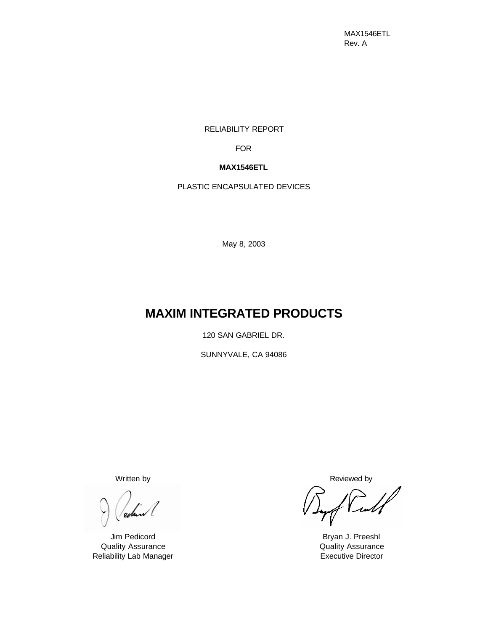MAX1546ETL Rev. A

RELIABILITY REPORT

FOR

# **MAX1546ETL**

PLASTIC ENCAPSULATED DEVICES

May 8, 2003

# **MAXIM INTEGRATED PRODUCTS**

120 SAN GABRIEL DR.

SUNNYVALE, CA 94086

eobr

Quality Assurance Quality Assurance Reliability Lab Manager **Executive Director** Executive Director

Written by **Reviewed** by **Reviewed** by

Full

Jim Pedicord **Bryan J. Preeshl**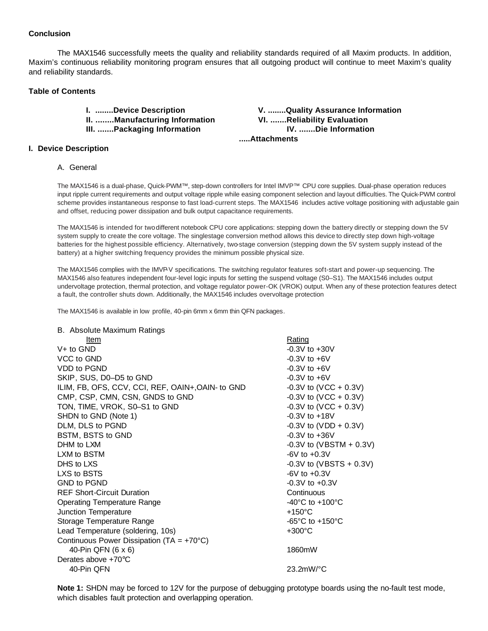#### **Conclusion**

The MAX1546 successfully meets the quality and reliability standards required of all Maxim products. In addition, Maxim's continuous reliability monitoring program ensures that all outgoing product will continue to meet Maxim's quality and reliability standards.

#### **Table of Contents**

**I. ........Device Description V. ........Quality Assurance Information II. ........Manufacturing Information VI. .......Reliability Evaluation III. .......Packaging Information IV. .......Die Information** 

#### **I. Device Description**

#### A. General

The MAX1546 is a dual-phase, Quick-PWM™, step-down controllers for Intel IMVP™ CPU core supplies. Dual-phase operation reduces input ripple current requirements and output voltage ripple while easing component selection and layout difficulties. The Quick-PWM control scheme provides instantaneous response to fast load-current steps. The MAX1546 includes active voltage positioning with adjustable gain and offset, reducing power dissipation and bulk output capacitance requirements.

 **.....Attachments**

The MAX1546 is intended for twodifferent notebook CPU core applications: stepping down the battery directly or stepping down the 5V system supply to create the core voltage. The singlestage conversion method allows this device to directly step down high-voltage batteries for the highest possible efficiency. Alternatively, two-stage conversion (stepping down the 5V system supply instead of the battery) at a higher switching frequency provides the minimum possible physical size.

The MAX1546 complies with the IMVP-V specifications. The switching regulator features soft-start and power-up sequencing. The MAX1546 also features independent four-level logic inputs for setting the suspend voltage (S0–S1). The MAX1546 includes output undervoltage protection, thermal protection, and voltage regulator power-OK (VROK) output. When any of these protection features detect a fault, the controller shuts down. Additionally, the MAX1546 includes overvoltage protection

The MAX1546 is available in low profile, 40-pin 6mm x 6mm thin QFN packages.

#### B. Absolute Maximum Ratings

| Item                                                | Rating                                                |
|-----------------------------------------------------|-------------------------------------------------------|
| $V+$ to GND                                         | $-0.3V$ to $+30V$                                     |
| VCC to GND                                          | $-0.3V$ to $+6V$                                      |
| VDD to PGND                                         | $-0.3V$ to $+6V$                                      |
| SKIP, SUS, D0-D5 to GND                             | $-0.3V$ to $+6V$                                      |
| ILIM, FB, OFS, CCV, CCI, REF, OAIN+, OAIN- to GND   | $-0.3V$ to (VCC + 0.3V)                               |
| CMP, CSP, CMN, CSN, GNDS to GND                     | $-0.3V$ to (VCC + 0.3V)                               |
| TON, TIME, VROK, S0-S1 to GND                       | $-0.3V$ to (VCC + 0.3V)                               |
| SHDN to GND (Note 1)                                | $-0.3V$ to $+18V$                                     |
| DLM, DLS to PGND                                    | $-0.3V$ to (VDD + 0.3V)                               |
| BSTM, BSTS to GND                                   | $-0.3V$ to $+36V$                                     |
| DHM to LXM                                          | $-0.3V$ to (VBSTM + 0.3V)                             |
| LXM to BSTM                                         | $-6V$ to $+0.3V$                                      |
| DHS to LXS                                          | $-0.3V$ to (VBSTS + 0.3V)                             |
| LXS to BSTS                                         | $-6V$ to $+0.3V$                                      |
| <b>GND to PGND</b>                                  | $-0.3V$ to $+0.3V$                                    |
| <b>REF Short-Circuit Duration</b>                   | Continuous                                            |
| <b>Operating Temperature Range</b>                  | -40 $^{\circ}$ C to +100 $^{\circ}$ C                 |
| Junction Temperature                                | $+150^{\circ}$ C                                      |
| Storage Temperature Range                           | -65 $\mathrm{^{\circ}C}$ to +150 $\mathrm{^{\circ}C}$ |
| Lead Temperature (soldering, 10s)                   | $+300^{\circ}$ C                                      |
| Continuous Power Dissipation (TA = $+70^{\circ}$ C) |                                                       |
| 40-Pin QFN (6 x 6)                                  | 1860mW                                                |
| Derates above +70°C                                 |                                                       |
| 40-Pin QFN                                          | $23.2mW$ <sup>o</sup> C                               |

**Note 1:** SHDN may be forced to 12V for the purpose of debugging prototype boards using the no-fault test mode, which disables fault protection and overlapping operation.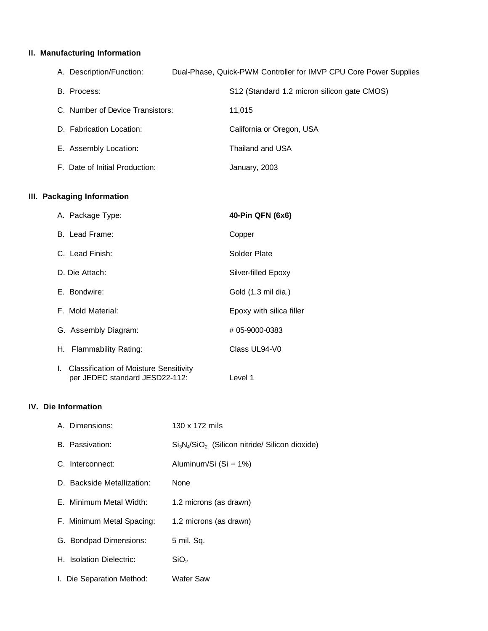## **II. Manufacturing Information**

| A. Description/Function:         | Dual-Phase, Quick-PWM Controller for IMVP CPU Core Power Supplies |  |
|----------------------------------|-------------------------------------------------------------------|--|
| B. Process:                      | S12 (Standard 1.2 micron silicon gate CMOS)                       |  |
| C. Number of Device Transistors: | 11.015                                                            |  |
| D. Fabrication Location:         | California or Oregon, USA                                         |  |
| E. Assembly Location:            | Thailand and USA                                                  |  |
| F. Date of Initial Production:   | January, 2003                                                     |  |

## **III. Packaging Information**

| A. Package Type:                                                                      | 40-Pin QFN (6x6)         |
|---------------------------------------------------------------------------------------|--------------------------|
| B. Lead Frame:                                                                        | Copper                   |
| C. Lead Finish:                                                                       | Solder Plate             |
| D. Die Attach:                                                                        | Silver-filled Epoxy      |
| E. Bondwire:                                                                          | Gold (1.3 mil dia.)      |
| F. Mold Material:                                                                     | Epoxy with silica filler |
| G. Assembly Diagram:                                                                  | #05-9000-0383            |
| Flammability Rating:<br>H. I                                                          | Class UL94-V0            |
| <b>Classification of Moisture Sensitivity</b><br>L.<br>per JEDEC standard JESD22-112: | Level 1                  |

## **IV. Die Information**

| A. Dimensions:             | 130 x 172 mils                                  |
|----------------------------|-------------------------------------------------|
| B. Passivation:            | $Si3N4/SiO2$ (Silicon nitride/ Silicon dioxide) |
| C. Interconnect:           | Aluminum/Si (Si = 1%)                           |
| D. Backside Metallization: | None                                            |
| E. Minimum Metal Width:    | 1.2 microns (as drawn)                          |
| F. Minimum Metal Spacing:  | 1.2 microns (as drawn)                          |
| G. Bondpad Dimensions:     | 5 mil. Sq.                                      |
| H. Isolation Dielectric:   | SiO <sub>2</sub>                                |
| I. Die Separation Method:  | Wafer Saw                                       |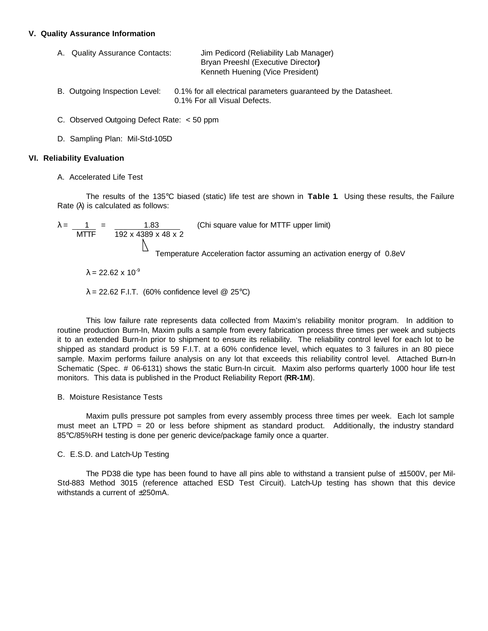#### **V. Quality Assurance Information**

| A. Quality Assurance Contacts: | Jim Pedicord (Reliability Lab Manager) |
|--------------------------------|----------------------------------------|
|                                | Bryan Preeshl (Executive Director)     |
|                                | Kenneth Huening (Vice President)       |

- B. Outgoing Inspection Level: 0.1% for all electrical parameters guaranteed by the Datasheet. 0.1% For all Visual Defects.
- C. Observed Outgoing Defect Rate: < 50 ppm
- D. Sampling Plan: Mil-Std-105D

#### **VI. Reliability Evaluation**

A. Accelerated Life Test

The results of the 135°C biased (static) life test are shown in **Table 1**. Using these results, the Failure Rate (λ) is calculated as follows:

 $\lambda =$  1 = 1.83 (Chi square value for MTTF upper limit) MTTF 192 x 4389 x 48 x 2 N Temperature Acceleration factor assuming an activation energy of 0.8eV  $λ = 22.62 × 10<sup>-9</sup>$ 

 $\lambda = 22.62$  F.I.T. (60% confidence level @ 25°C)

This low failure rate represents data collected from Maxim's reliability monitor program. In addition to routine production Burn-In, Maxim pulls a sample from every fabrication process three times per week and subjects it to an extended Burn-In prior to shipment to ensure its reliability. The reliability control level for each lot to be shipped as standard product is 59 F.I.T. at a 60% confidence level, which equates to 3 failures in an 80 piece sample. Maxim performs failure analysis on any lot that exceeds this reliability control level. Attached Burn-In Schematic (Spec. # 06-6131) shows the static Burn-In circuit. Maxim also performs quarterly 1000 hour life test monitors. This data is published in the Product Reliability Report (**RR-1M**).

#### B. Moisture Resistance Tests

Maxim pulls pressure pot samples from every assembly process three times per week. Each lot sample must meet an LTPD = 20 or less before shipment as standard product. Additionally, the industry standard 85°C/85%RH testing is done per generic device/package family once a quarter.

#### C. E.S.D. and Latch-Up Testing

The PD38 die type has been found to have all pins able to withstand a transient pulse of ±1500V, per Mil-Std-883 Method 3015 (reference attached ESD Test Circuit). Latch-Up testing has shown that this device withstands a current of  $+250$ mA.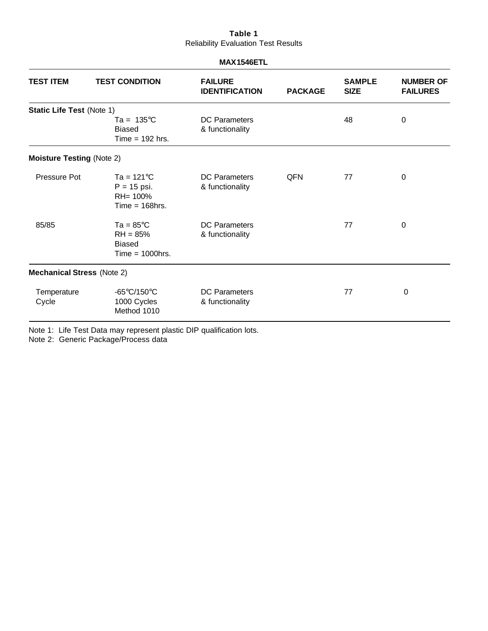## **Table 1** Reliability Evaluation Test Results

#### **MAX1546ETL**

| <b>TEST ITEM</b>                  | <b>TEST CONDITION</b>                                                        | <b>FAILURE</b><br><b>IDENTIFICATION</b> | <b>PACKAGE</b> | <b>SAMPLE</b><br><b>SIZE</b> | <b>NUMBER OF</b><br><b>FAILURES</b> |
|-----------------------------------|------------------------------------------------------------------------------|-----------------------------------------|----------------|------------------------------|-------------------------------------|
| <b>Static Life Test (Note 1)</b>  |                                                                              |                                         |                |                              |                                     |
|                                   | $Ta = 135^{\circ}C$<br><b>Biased</b><br>Time $= 192$ hrs.                    | <b>DC Parameters</b><br>& functionality |                | 48                           | 0                                   |
| <b>Moisture Testing (Note 2)</b>  |                                                                              |                                         |                |                              |                                     |
| Pressure Pot                      | Ta = $121^{\circ}$ C<br>$P = 15$ psi.<br>RH= 100%<br>$Time = 168$ hrs.       | <b>DC</b> Parameters<br>& functionality | <b>QFN</b>     | 77                           | $\boldsymbol{0}$                    |
| 85/85                             | Ta = $85^{\circ}$ C<br>$RH = 85%$<br><b>Biased</b><br>$Time = 1000$ hrs.     | <b>DC</b> Parameters<br>& functionality |                | 77                           | $\mathbf 0$                         |
| <b>Mechanical Stress (Note 2)</b> |                                                                              |                                         |                |                              |                                     |
| Temperature<br>Cycle              | -65 $\mathrm{^{\circ}C}/150\mathrm{^{\circ}C}$<br>1000 Cycles<br>Method 1010 | <b>DC</b> Parameters<br>& functionality |                | 77                           | 0                                   |

Note 1: Life Test Data may represent plastic DIP qualification lots.

Note 2: Generic Package/Process data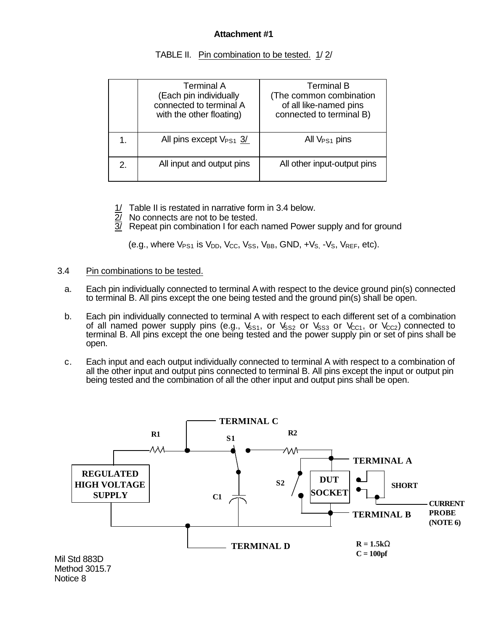# **Attachment #1**

|    | Terminal A<br>(Each pin individually<br>connected to terminal A<br>with the other floating) | <b>Terminal B</b><br>(The common combination)<br>of all like-named pins<br>connected to terminal B) |
|----|---------------------------------------------------------------------------------------------|-----------------------------------------------------------------------------------------------------|
|    | All pins except $V_{PS1}$ 3/                                                                | All $V_{PS1}$ pins                                                                                  |
| 2. | All input and output pins                                                                   | All other input-output pins                                                                         |

TABLE II. Pin combination to be tested. 1/2/

- 1/ Table II is restated in narrative form in 3.4 below.
- 2/ No connects are not to be tested.
- $\overline{3}$  Repeat pin combination I for each named Power supply and for ground

(e.g., where  $V_{PS1}$  is  $V_{DD}$ ,  $V_{CC}$ ,  $V_{SS}$ ,  $V_{BB}$ ,  $GND$ ,  $+V_{S}$ ,  $-V_{S}$ ,  $V_{REF}$ , etc).

- 3.4 Pin combinations to be tested.
	- a. Each pin individually connected to terminal A with respect to the device ground pin(s) connected to terminal B. All pins except the one being tested and the ground pin(s) shall be open.
	- b. Each pin individually connected to terminal A with respect to each different set of a combination of all named power supply pins (e.g.,  $V_{SS1}$ , or  $V_{SS2}$  or  $V_{SS3}$  or  $V_{CC1}$ , or  $V_{CC2}$ ) connected to terminal B. All pins except the one being tested and the power supply pin or set of pins shall be open.
	- c. Each input and each output individually connected to terminal A with respect to a combination of all the other input and output pins connected to terminal B. All pins except the input or output pin being tested and the combination of all the other input and output pins shall be open.

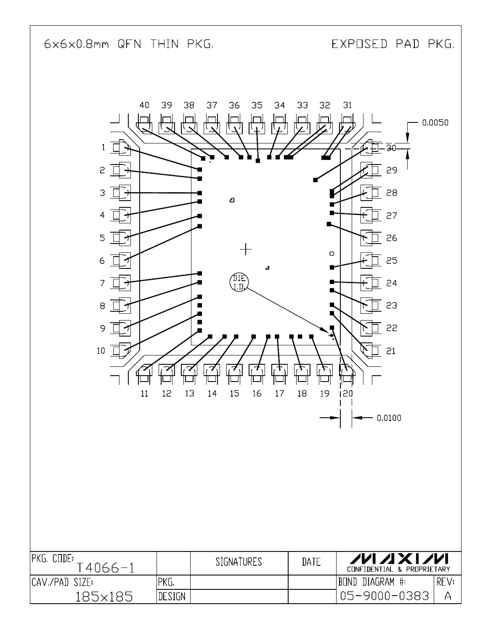6x6x0.8mm QFN THIN PKG.

EXPOSED PAD PKG.